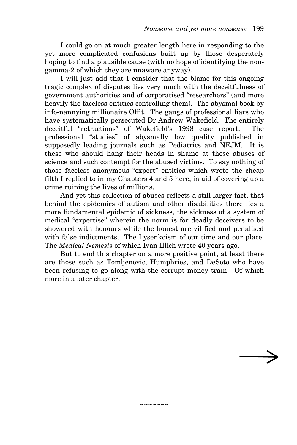I could go on at much greater length here in responding to the yet more complicated confusions built up by those desperately hoping to find a plausible cause (with no hope of identifying the nongamma-2 of which they are unaware anyway).

I will just add that I consider that the blame for this ongoing tragic complex of disputes lies very much with the deceitfulness of government authorities and of corporatised "researchers" (and more heavily the faceless entities controlling them). The abysmal book by info-nannying millionaire Offit. The gangs of professional liars who have systematically persecuted Dr Andrew Wakefield. The entirely deceitful "retractions" of Wakefield's 1998 case report. The professional "studies" of abysmally low quality published in supposedly leading journals such as Pediatrics and NEJM. It is these who should hang their heads in shame at these abuses of science and such contempt for the abused victims. To say nothing of those faceless anonymous "expert" entities which wrote the cheap filth I replied to in my Chapters 4 and 5 here, in aid of covering up a crime ruining the lives of millions.

And yet this collection of abuses reflects a still larger fact, that behind the epidemics of autism and other disabilities there lies a more fundamental epidemic of sickness, the sickness of a system of medical "expertise" wherein the norm is for deadly deceivers to be showered with honours while the honest are vilified and penalised with false indictments. The Lysenkoism of our time and our place. The *Medical Nemesis* of which Ivan Illich wrote 40 years ago.

But to end this chapter on a more positive point, at least there are those such as Tomljenovic, Humphries, and DeSoto who have been refusing to go along with the corrupt money train. Of which more in a later chapter.

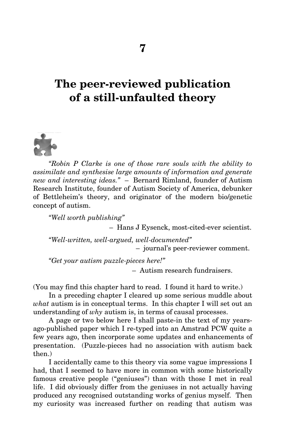# **The peer-reviewed publication of a still-unfaulted theory**



*"Robin P Clarke is one of those rare souls with the ability to assimilate and synthesise large amounts of information and generate new and interesting ideas."* – Bernard Rimland, founder of Autism Research Institute, founder of Autism Society of America, debunker of Bettleheim's theory, and originator of the modern bio/genetic concept of autism.

*"Well worth publishing"*

– Hans J Eysenck, most-cited-ever scientist.

*"Well-written, well-argued, well-documented"* – journal's peer-reviewer comment.

*"Get your autism puzzle-pieces here!"*

– Autism research fundraisers.

(You may find this chapter hard to read. I found it hard to write.)

In a preceding chapter I cleared up some serious muddle about *what* autism is in conceptual terms. In this chapter I will set out an understanding of *why* autism is, in terms of causal processes.

A page or two below here I shall paste-in the text of my yearsago-published paper which I re-typed into an Amstrad PCW quite a few years ago, then incorporate some updates and enhancements of presentation. (Puzzle-pieces had no association with autism back then.)

I accidentally came to this theory via some vague impressions I had, that I seemed to have more in common with some historically famous creative people ("geniuses") than with those I met in real life. I did obviously differ from the geniuses in not actually having produced any recognised outstanding works of genius myself. Then my curiosity was increased further on reading that autism was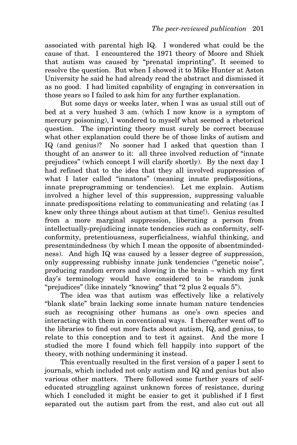associated with parental high IQ. I wondered what could be the cause of that. I encountered the 1971 theory of Moore and Shiek that autism was caused by "prenatal imprinting". It seemed to resolve the question. But when I showed it to Mike Hunter at Aston University he said he had already read the abstract and dismissed it as no good. I had limited capability of engaging in conversation in those years so I failed to ask him for any further explanation.

But some days or weeks later, when I was as usual still out of bed at a very hushed 3 am. (which I now know is a symptom of mercury poisoning), I wondered to myself what seemed a rhetorical question. The imprinting theory must surely be correct because what other explanation could there be of those links of autism and IQ (and genius)? No sooner had I asked that question than I thought of an answer to it: all three involved reduction of "innate prejudices" (which concept I will clarify shortly). By the next day I had refined that to the idea that they all involved suppression of what I later called "innatons" (meaning innate predispositions, innate preprogramming or tendencies). Let me explain. Autism involved a higher level of this suppression, suppressing valuable innate predispositions relating to communicating and relating (as I knew only three things about autism at that time!). Genius resulted from a more marginal suppression, liberating a person from intellectually-prejudicing innate tendencies such as conformity, selfconformity, pretentiousness, superficialness, wiahful thinking, and presentmindedness (by which I mean the opposite of absentmindedness). And high IQ was caused by a lesser degree of suppression, only suppressing rubbishy innate junk tendencies ("genetic noise", producing random errors and slowing in the brain – which my first day's terminology would have considered to be random junk "prejudices" (like innately "knowing" that "2 plus 2 equals 5").

The idea was that autism was effectively like a relatively "blank slate" brain lacking some innate human nature tendencies such as recognising other humans as one's own species and interacting with them in conventional ways. I thereafter went off to the libraries to find out more facts about autism, IQ, and genius, to relate to this conception and to test it against. And the more I studied the more I found which fell happily into support of the theory, with nothing undermining it instead.

This eventually resulted in the first version of a paper I sent to journals, which included not only autism and IQ and genius but also various other matters. There followed some further years of selfeducated struggling against unknown forces of resistance, during which I concluded it might be easier to get it published if I first separated out the autism part from the rest, and also cut out all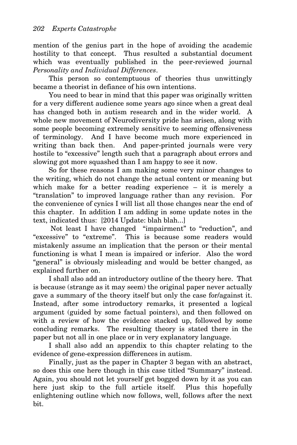mention of the genius part in the hope of avoiding the academic hostility to that concept. Thus resulted a substantial document which was eventually published in the peer-reviewed journal *Personality and Individual Differences*.

This person so contemptuous of theories thus unwittingly became a theorist in defiance of his own intentions.

You need to bear in mind that this paper was originally written for a very different audience some years ago since when a great deal has changed both in autism research and in the wider world. A whole new movement of Neurodiversity pride has arisen, along with some people becoming extremely sensitive to seeming offensiveness of terminology. And I have become much more experienced in writing than back then. And paper-printed journals were very hostile to "excessive" length such that a paragraph about errors and slowing got more squashed than I am happy to see it now.

So for these reasons I am making some very minor changes to the writing, which do not change the actual content or meaning but which make for a better reading experience – it is merely a "translation" to improved language rather than any revision. For the convenience of cynics I will list all those changes near the end of this chapter. In addition I am adding in some update notes in the text, indicated thus: [2014 Update: blah blah...]

 Not least I have changed "impairment" to "reduction", and "excessive" to "extreme". This is because some readers would mistakenly assume an implication that the person or their mental functioning is what I mean is impaired or inferior. Also the word "general" is obviously misleading and would be better changed, as explained further on.

I shall also add an introductory outline of the theory here. That is because (strange as it may seem) the original paper never actually gave a summary of the theory itself but only the case for/against it. Instead, after some introductory remarks, it presented a logical argument (guided by some factual pointers), and then followed on with a review of how the evidence stacked up, followed by some concluding remarks. The resulting theory is stated there in the paper but not all in one place or in very explanatory language.

I shall also add an appendix to this chapter relating to the evidence of gene-expression differences in autism.

Finally, just as the paper in Chapter 3 began with an abstract, so does this one here though in this case titled "Summary" instead. Again, you should not let yourself get bogged down by it as you can here just skip to the full article itself. Plus this hopefully enlightening outline which now follows, well, follows after the next bit.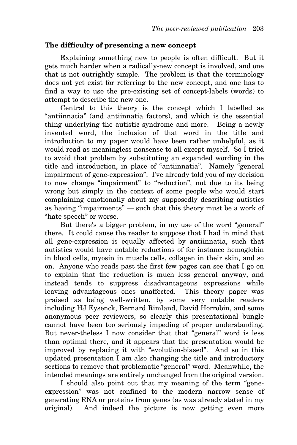#### **The difficulty of presenting a new concept**

Explaining something new to people is often difficult. But it gets much harder when a radically-new concept is involved, and one that is not outrightly simple. The problem is that the terminology does not yet exist for referring to the new concept, and one has to find a way to use the pre-existing set of concept-labels (words) to attempt to describe the new one.

Central to this theory is the concept which I labelled as "antiinnatia" (and antiinnatia factors), and which is the essential thing underlying the autistic syndrome and more. Being a newly invented word, the inclusion of that word in the title and introduction to my paper would have been rather unhelpful, as it would read as meaningless nonsense to all except myself. So I tried to avoid that problem by substituting an expanded wording in the title and introduction, in place of "antiinnatia". Namely "general impairment of gene-expression". I've already told you of my decision to now change "impairment" to "reduction", not due to its being wrong but simply in the context of some people who would start complaining emotionally about my supposedly describing autistics as having "impairments" — such that this theory must be a work of "hate speech" or worse.

But there's a bigger problem, in my use of the word "general" there. It could cause the reader to suppose that I had in mind that all gene-expression is equally affected by antiinnatia, such that autistics would have notable reductions of for instance hemoglobin in blood cells, myosin in muscle cells, collagen in their skin, and so on. Anyone who reads past the first few pages can see that I go on to explain that the reduction is much less general anyway, and instead tends to suppress disadvantageous expressions while leaving advantageous ones unaffected. This theory paper was praised as being well-written, by some very notable readers including HJ Eysenck, Bernard Rimland, David Horrobin, and some anonymous peer reviewers, so clearly this presentational bungle cannot have been too seriously impeding of proper understanding. But never-theless I now consider that that "general" word is less than optimal there, and it appears that the presentation would be improved by replacing it with "evolution-biased". And so in this updated presentation I am also changing the title and introductory sections to remove that problematic "general" word. Meanwhile, the intended meanings are entirely unchanged from the original version.

I should also point out that my meaning of the term "geneexpression" was not confined to the modern narrow sense of generating RNA or proteins from genes (as was already stated in my original). And indeed the picture is now getting even more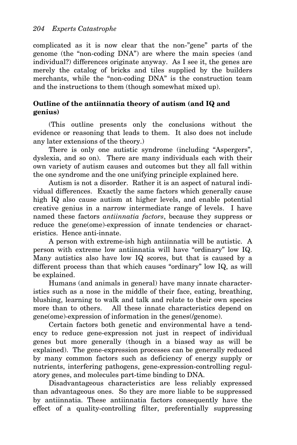complicated as it is now clear that the non-"gene" parts of the genome (the "non-coding DNA") are where the main species (and individual?) differences originate anyway. As I see it, the genes are merely the catalog of bricks and tiles supplied by the builders merchants, while the "non-coding DNA" is the construction team and the instructions to them (though somewhat mixed up).

## **Outline of the antiinnatia theory of autism (and IQ and genius)**

(This outline presents only the conclusions without the evidence or reasoning that leads to them. It also does not include any later extensions of the theory.)

There is only one autistic syndrome (including "Aspergers", dyslexia, and so on). There are many individuals each with their own variety of autism causes and outcomes but they all fall within the one syndrome and the one unifying principle explained here.

Autism is not a disorder. Rather it is an aspect of natural individual differences. Exactly the same factors which generally cause high IQ also cause autism at higher levels, and enable potential creative genius in a narrow intermediate range of levels. I have named these factors *antiinnatia factors*, because they suppress or reduce the gene (ome)-expression of innate tendencies or characteristics. Hence anti-innate.

A person with extreme-ish high antiinnatia will be autistic. A person with extreme low antiinnatia will have "ordinary" low IQ. Many autistics also have low IQ scores, but that is caused by a different process than that which causes "ordinary" low IQ, as will be explained.

Humans (and animals in general) have many innate characteristics such as a nose in the middle of their face, eating, breathing, blushing, learning to walk and talk and relate to their own species more than to others. All these innate characteristics depend on gene(ome)-expression of information in the genes(/genome).

Certain factors both genetic and environmental have a tendency to reduce gene-expression not just in respect of individual genes but more generally (though in a biased way as will be explained). The gene-expression processes can be generally reduced by many common factors such as deficiency of energy supply or nutrients, interfering pathogens, gene-expression-controlling regulatory genes, and molecules part-time binding to DNA.

Disadvantageous characteristics are less reliably expressed than advantageous ones. So they are more liable to be suppressed by antiinnatia. These antiinnatia factors consequently have the effect of a quality-controlling filter, preferentially suppressing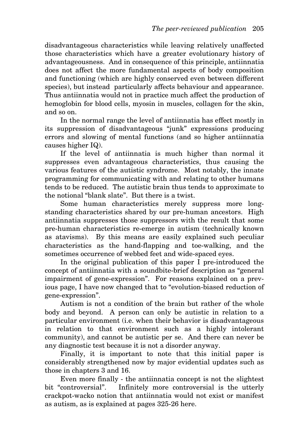disadvantageous characteristics while leaving relatively unaffected those characteristics which have a greater evolutionary history of advantageousness. And in consequence of this principle, antiinnatia does not affect the more fundamental aspects of body composition and functioning (which are highly conserved even between different species), but instead particularly affects behaviour and appearance. Thus antiinnatia would not in practice much affect the production of hemoglobin for blood cells, myosin in muscles, collagen for the skin, and so on.

In the normal range the level of antiinnatia has effect mostly in its suppression of disadvantageous "junk" expressions producing errors and slowing of mental functions (and so higher antiinnatia causes higher IQ).

If the level of antiinnatia is much higher than normal it suppresses even advantageous characteristics, thus causing the various features of the autistic syndrome. Most notably, the innate programming for communicating with and relating to other humans tends to be reduced. The autistic brain thus tends to approximate to the notional "blank slate". But there is a twist.

Some human characteristics merely suppress more longstanding characteristics shared by our pre-human ancestors. High antiinnatia suppresses those suppressors with the result that some pre-human characteristics re-emerge in autism (technically known as atavisms). By this means are easily explained such peculiar characteristics as the hand-flapping and toe-walking, and the sometimes occurrence of webbed feet and wide-spaced eyes.

In the original publication of this paper I pre-introduced the concept of antiinnatia with a soundbite-brief description as "general impairment of gene-expression". For reasons explained on a previous page, I have now changed that to "evolution-biased reduction of gene-expression".

Autism is not a condition of the brain but rather of the whole body and beyond. A person can only be autistic in relation to a particular environment (i.e. when their behavior is disadvantageous in relation to that environment such as a highly intolerant community), and cannot be autistic per se. And there can never be any diagnostic test because it is not a disorder anyway.

Finally, it is important to note that this initial paper is considerably strengthened now by major evidential updates such as those in chapters 3 and 16.

Even more finally - the antiinnatia concept is not the slightest bit "controversial". Infinitely more controversial is the utterly crackpot-wacko notion that antiinnatia would not exist or manifest as autism, as is explained at pages 325-26 here.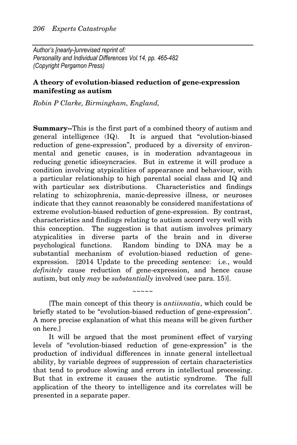*Author's [nearly-]unrevised reprint of: Personality and Individual Differences Vol.14, pp. 465-482 (Copyright Pergamon Press)*

#### **A theory of evolution-biased reduction of gene-expression manifesting as autism**

*Robin P Clarke, Birmingham, England,* 

**Summary--**This is the first part of a combined theory of autism and general intelligence (IQ). It is argued that "evolution-biased reduction of gene-expression", produced by a diversity of environmental and genetic causes, is in moderation advantageous in reducing genetic idiosyncracies. But in extreme it will produce a condition involving atypicalities of appearance and behaviour, with a particular relationship to high parental social class and IQ and with particular sex distributions. Characteristics and findings relating to schizophrenia, manic-depressive illness, or neuroses indicate that they cannot reasonably be considered manifestations of extreme evolution-biased reduction of gene-expression. By contrast, characteristics and findings relating to autism accord very well with this conception. The suggestion is that autism involves primary atypicalities in diverse parts of the brain and in diverse psychological functions. Random binding to DNA may be a substantial mechanism of evolution-biased reduction of geneexpression. [2014 Update to the preceding sentence: i.e., would *definitely* cause reduction of gene-expression, and hence cause autism, but only *may* be *substantially* involved (see para. 15)].

[The main concept of this theory is *antiinnatia*, which could be briefly stated to be "evolution-biased reduction of gene-expression". A more precise explanation of what this means will be given further on here.]

 $\sim\sim\sim\sim\sim$ 

It will be argued that the most prominent effect of varying levels of "evolution-biased reduction of gene-expression" is the production of individual differences in innate general intellectual ability, by variable degrees of suppression of certain characteristics that tend to produce slowing and errors in intellectual processing. But that in extreme it causes the autistic syndrome. The full application of the theory to intelligence and its correlates will be presented in a separate paper.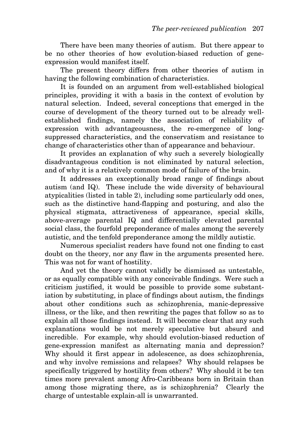There have been many theories of autism. But there appear to be no other theories of how evolution-biased reduction of geneexpression would manifest itself.

The present theory differs from other theories of autism in having the following combination of characteristics.

It is founded on an argument from well-established biological principles, providing it with a basis in the context of evolution by natural selection. Indeed, several conceptions that emerged in the course of development of the theory turned out to be already wellestablished findings, namely the association of reliability of expression with advantageousness, the re-emergence of longsuppressed characteristics, and the conservatism and resistance to change of characteristics other than of appearance and behaviour.

It provides an explanation of why such a severely biologically disadvantageous condition is not eliminated by natural selection, and of why it is a relatively common mode of failure of the brain.

It addresses an exceptionally broad range of findings about autism (and IQ). These include the wide diversity of behavioural atypicalities (listed in table 2), including some particularly odd ones, such as the distinctive hand-flapping and posturing, and also the physical stigmata, attractiveness of appearance, special skills, above-average parental IQ and differentially elevated parental social class, the fourfold preponderance of males among the severely autistic, and the tenfold preponderance among the mildly autistic.

Numerous specialist readers have found not one finding to cast doubt on the theory, nor any flaw in the arguments presented here. This was not for want of hostility.

And yet the theory cannot validly be dismissed as untestable, or as equally compatible with any conceivable findings. Were such a criticism justified, it would be possible to provide some substantiation by substituting, in place of findings about autism, the findings about other conditions such as schizophrenia, manic-depressive illness, or the like, and then rewriting the pages that follow so as to explain all those findings instead. It will become clear that any such explanations would be not merely speculative but absurd and incredible. For example, why should evolution-biased reduction of gene-expression manifest as alternating mania and depression? Why should it first appear in adolescence, as does schizophrenia, and why involve remissions and relapses? Why should relapses be specifically triggered by hostility from others? Why should it be ten times more prevalent among Afro-Caribbeans born in Britain than among those migrating there, as is schizophrenia? Clearly the charge of untestable explain-all is unwarranted.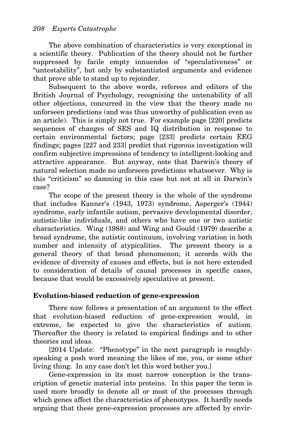The above combination of characteristics is very exceptional in a scientific theory. Publication of the theory should not be further suppressed by facile empty innuendos of "speculativeness" or "untestability", but only by substantiated arguments and evidence that prove able to stand up to rejoinder.

Subsequent to the above words, referees and editors of the British Journal of Psychology, recognising the untenability of all other objections, concurred in the view that the theory made no unforseen predictions (and was thus unworthy of publication even as an article). This is simply not true. For example page [220] predicts sequences of changes of SES and IQ distribution in response to certain environmental factors; page [233] predicts certain EEG findings; pages [227 and 233] predict that rigorous investigation will confirm subjective impressions of tendency to intelligent-looking and attractive appearance. But anyway, note that Darwin's theory of natural selection made no unforseen predictions whatsoever. Why is this "criticism" so damning in this case but not at all in Darwin's case?

The scope of the present theory is the whole of the syndrome that includes Kanner's (1943, 1973) syndrome, Asperger's (1944) syndrome, early infantile autism, pervasive developmental disorder, autistic-like individuals, and others who have one or two autistic characteristics. Wing (1988) and Wing and Gould (1979) describe a broad syndrome, the autistic continuum, involving variation in both number and intensity of atypicalities. The present theory is a general theory of that broad phenomenon; it accords with the evidence of diversity of causes and effects, but is not here extended to consideration of details of causal processes in specific cases, because that would be excessively speculative at present.

#### **Evolution-biased reduction of gene-expression**

There now follows a presentation of an argument to the effect that evolution-biased reduction of gene-expression would, in extreme, be expected to give the characteristics of autism. Thereafter the theory is related to empirical findings and to other theories and ideas.

[2014 Update: "Phenotype" in the next paragraph is roughlyspeaking a posh word meaning the likes of me, you, or some other living thing. In any case don't let this word bother you.]

Gene-expression in its most narrow conception is the transcription of genetic material into proteins. In this paper the term is used more broadly to denote all or most of the processes through which genes affect the characteristics of phenotypes. It hardly needs arguing that these gene-expression processes are affected by envir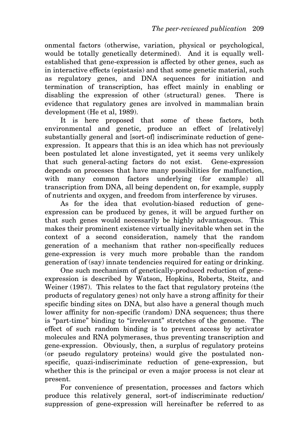onmental factors (otherwise, variation, physical or psychological, would be totally genetically determined). And it is equally wellestablished that gene-expression is affected by other genes, such as in interactive effects (epistasis) and that some genetic material, such as regulatory genes, and DNA sequences for initiation and termination of transcription, has effect mainly in enabling or disabling the expression of other (structural) genes. There is evidence that regulatory genes are involved in mammalian brain development (He et al, 1989).

It is here proposed that some of these factors, both environmental and genetic, produce an effect of [relatively] substantially general and [sort-of] indiscriminate reduction of geneexpression. It appears that this is an idea which has not previously been postulated let alone investigated, yet it seems very unlikely that such general-acting factors do not exist. Gene-expression depends on processes that have many possibilities for malfunction, with many common factors underlying (for example) all transcription from DNA, all being dependent on, for example, supply of nutrients and oxygen, and freedom from interference by viruses.

As for the idea that evolution-biased reduction of geneexpression can be produced by genes, it will be argued further on that such genes would necessarily be highly advantageous. This makes their prominent existence virtually inevitable when set in the context of a second consideration, namely that the random generation of a mechanism that rather non-specifically reduces gene-expression is very much more probable than the random generation of (say) innate tendencies required for eating or drinking.

One such mechanism of genetically-produced reduction of geneexpression is described by Watson, Hopkins, Roberts, Steitz, and Weiner (1987). This relates to the fact that regulatory proteins (the products of regulatory genes) not only have a strong affinity for their specific binding sites on DNA, but also have a general though much lower affinity for non-specific (random) DNA sequences; thus there is "part-time" binding to "irrelevant" stretches of the genome. The effect of such random binding is to prevent access by activator molecules and RNA polymerases, thus preventing transcription and gene-expression. Obviously, then, a surplus of regulatory proteins (or pseudo regulatory proteins) would give the postulated nonspecific, quazi-indiscriminate reduction of gene-expression, but whether this is the principal or even a major process is not clear at present.

For convenience of presentation, processes and factors which produce this relatively general, sort-of indiscriminate reduction/ suppression of gene-expression will hereinafter be referred to as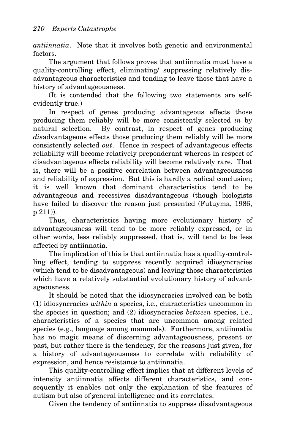*antiinnatia*. Note that it involves both genetic and environmental factors.

The argument that follows proves that antiinnatia must have a quality-controlling effect, eliminating/ suppressing relatively disadvantageous characteristics and tending to leave those that have a history of advantageousness.

(It is contended that the following two statements are selfevidently true.)

In respect of genes producing advantageous effects those producing them reliably will be more consistently selected *in* by natural selection. By contrast, in respect of genes producing *dis*advantageous effects those producing them reliably will be more consistently selected *out*. Hence in respect of advantageous effects reliability will become relatively preponderant whereas in respect of disadvantageous effects reliability will become relatively rare. That is, there will be a positive correlation between advantageousness and reliability of expression. But this is hardly a radical conclusion; it is well known that dominant characteristics tend to be advantageous and recessives disadvantageous (though biologists have failed to discover the reason just presented (Futuyma, 1986,  $p 211$ )).

Thus, characteristics having more evolutionary history of advantageousness will tend to be more reliably expressed, or in other words, less reliably suppressed, that is, will tend to be less affected by antiinnatia.

The implication of this is that antiinnatia has a quality-controlling effect, tending to suppress recently acquired idiosyncracies (which tend to be disadvantageous) and leaving those characteristics which have a relatively substantial evolutionary history of advantageousness.

It should be noted that the idiosyncracies involved can be both (1) idiosyncracies *within* a species, i.e., characteristics uncommon in the species in question; and (2) idiosyncracies *between* species, i.e., characteristics of a species that are uncommon among related species (e.g., language among mammals). Furthermore, antiinnatia has no magic means of discerning advantageousness, present or past, but rather there is the tendency, for the reasons just given, for a history of advantageousness to correlate with reliability of expression, and hence resistance to antiinnatia.

This quality-controlling effect implies that at different levels of intensity antiinnatia affects different characteristics, and consequently it enables not only the explanation of the features of autism but also of general intelligence and its correlates.

Given the tendency of antiinnatia to suppress disadvantageous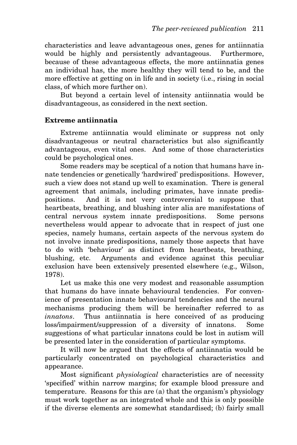characteristics and leave advantageous ones, genes for antiinnatia would be highly and persistently advantageous. Furthermore, because of these advantageous effects, the more antiinnatia genes an individual has, the more healthy they will tend to be, and the more effective at getting on in life and in society (i.e., rising in social class, of which more further on).

But beyond a certain level of intensity antiinnatia would be disadvantageous, as considered in the next section.

#### **Extreme antiinnatia**

Extreme antiinnatia would eliminate or suppress not only disadvantageous or neutral characteristics but also significantly advantageous, even vital ones. And some of those characteristics could be psychological ones.

Some readers may be sceptical of a notion that humans have innate tendencies or genetically 'hardwired' predispositions. However, such a view does not stand up well to examination. There is general agreement that animals, including primates, have innate predispositions. And it is not very controversial to suppose that heartbeats, breathing, and blushing inter alia are manifestations of central nervous system innate predispositions. Some persons nevertheless would appear to advocate that in respect of just one species, namely humans, certain aspects of the nervous system do not involve innate predispositions, namely those aspects that have to do with 'behaviour' as distinct from heartbeats, breathing, blushing, etc. Arguments and evidence against this peculiar exclusion have been extensively presented elsewhere (e.g., Wilson, 1978).

Let us make this one very modest and reasonable assumption that humans do have innate behavioural tendencies. For convenience of presentation innate behavioural tendencies and the neural mechanisms producing them will be hereinafter referred to as *innatons*. Thus antiinnatia is here conceived of as producing loss/impairment/suppression of a diversity of innatons. Some suggestions of what particular innatons could be lost in autism will be presented later in the consideration of particular symptoms.

It will now be argued that the effects of antiinnatia would be particularly concentrated on psychological characteristics and appearance.

Most significant *physiological* characteristics are of necessity 'specified' within narrow margins; for example blood pressure and temperature. Reasons for this are (a) that the organism's physiology must work together as an integrated whole and this is only possible if the diverse elements are somewhat standardised; (b) fairly small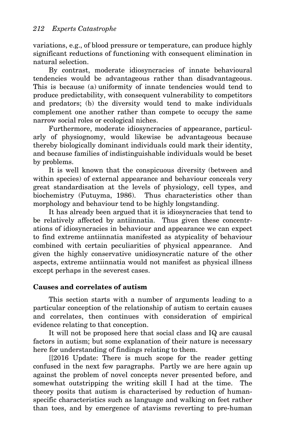variations, e.g., of blood pressure or temperature, can produce highly significant reductions of functioning with consequent elimination in natural selection.

By contrast, moderate idiosyncracies of innate behavioural tendencies would be advantageous rather than disadvantageous. This is because (a) uniformity of innate tendencies would tend to produce predictability, with consequent vulnerability to competitors and predators; (b) the diversity would tend to make individuals complement one another rather than compete to occupy the same narrow social roles or ecological niches.

Furthermore, moderate idiosyncracies of appearance, particularly of physiognomy, would likewise be advantageous because thereby biologically dominant individuals could mark their identity, and because families of indistinguishable individuals would be beset by problems.

It is well known that the conspicuous diversity (between and within species) of external appearance and behaviour conceals very great standardisation at the levels of physiology, cell types, and biochemistry (Futuyma, 1986). Thus characteristics other than morphology and behaviour tend to be highly longstanding.

It has already been argued that it is idiosyncracies that tend to be relatively affected by antiinnatia. Thus given these concentrations of idiosyncracies in behaviour and appearance we can expect to find extreme antiinnatia manifested as atypicality of behaviour combined with certain peculiarities of physical appearance. And given the highly conservative unidiosyncratic nature of the other aspects, extreme antiinnatia would not manifest as physical illness except perhaps in the severest cases.

## **Causes and correlates of autism**

This section starts with a number of arguments leading to a particular conception of the relationship of autism to certain causes and correlates, then continues with consideration of empirical evidence relating to that conception.

It will not be proposed here that social class and IQ are causal factors in autism; but some explanation of their nature is necessary here for understanding of findings relating to them.

[[2016 Update: There is much scope for the reader getting confused in the next few paragraphs. Partly we are here again up against the problem of novel concepts never presented before, and somewhat outstripping the writing skill I had at the time. The theory posits that autism is characterised by reduction of humanspecific characteristics such as language and walking on feet rather than toes, and by emergence of atavisms reverting to pre-human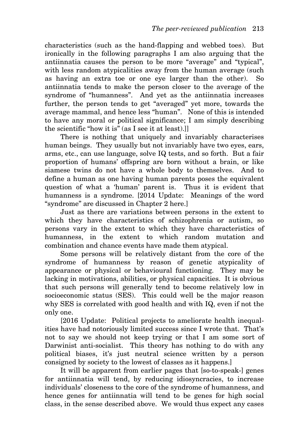characteristics (such as the hand-flapping and webbed toes). But ironically in the following paragraphs I am also arguing that the antiinnatia causes the person to be more "average" and "typical", with less random atypicalities away from the human average (such as having an extra toe or one eye larger than the other). So antiinnatia tends to make the person closer to the average of the syndrome of "humanness". And yet as the antiinnatia increases further, the person tends to get "averaged" yet more, towards the average mammal, and hence less "human". None of this is intended to have any moral or political significance; I am simply describing the scientific "how it is" (as I see it at least).]]

There is nothing that uniquely and invariably characterises human beings. They usually but not invariably have two eyes, ears, arms, etc., can use language, solve IQ tests, and so forth. But a fair proportion of humans' offspring are born without a brain, or like siamese twins do not have a whole body to themselves. And to define a human as one having human parents poses the equivalent question of what a 'human' parent is. Thus it is evident that humanness is a syndrome. [2014 Update: Meanings of the word "syndrome" are discussed in Chapter 2 here.]

Just as there are variations between persons in the extent to which they have characteristics of schizophrenia or autism, so persons vary in the extent to which they have characteristics of humanness, in the extent to which random mutation and combination and chance events have made them atypical.

Some persons will be relatively distant from the core of the syndrome of humanness by reason of genetic atypicality of appearance or physical or behavioural functioning. They may be lacking in motivations, abilities, or physical capacities. It is obvious that such persons will generally tend to become relatively low in socioeconomic status (SES). This could well be the major reason why SES is correlated with good health and with IQ, even if not the only one.

[2016 Update: Political projects to ameliorate health inequalities have had notoriously limited success since I wrote that. That's not to say we should not keep trying or that I am some sort of Darwinist anti-socialist. This theory has nothing to do with any political biases, it's just neutral science written by a person consigned by society to the lowest of classes as it happens.]

It will be apparent from earlier pages that [so-to-speak-] genes for antiinnatia will tend, by reducing idiosyncracies, to increase individuals' closeness to the core of the syndrome of humanness, and hence genes for antiinnatia will tend to be genes for high social class, in the sense described above. We would thus expect any cases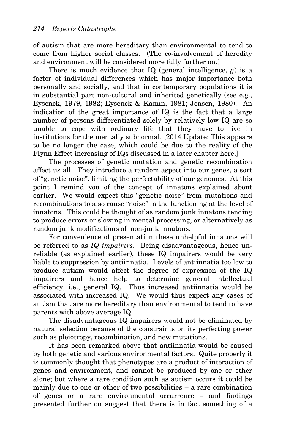of autism that are more hereditary than environmental to tend to come from higher social classes. (The co-involvement of heredity and environment will be considered more fully further on.)

There is much evidence that IQ (general intelligence, *g*) is a factor of individual differences which has major importance both personally and socially, and that in contemporary populations it is in substantial part non-cultural and inherited genetically (see e.g., Eysenck, 1979, 1982; Eysenck & Kamin, 1981; Jensen, 1980). An indication of the great importance of IQ is the fact that a large number of persons differentiated solely by relatively low IQ are so unable to cope with ordinary life that they have to live in institutions for the mentally subnormal. [2014 Update: This appears to be no longer the case, which could be due to the reality of the Flynn Effect increasing of IQs discussed in a later chapter here.]

The processes of genetic mutation and genetic recombination affect us all. They introduce a random aspect into our genes, a sort of "genetic noise", limiting the perfectability of our genomes. At this point I remind you of the concept of innatons explained about earlier. We would expect this "genetic noise" from mutations and recombinations to also cause "noise" in the functioning at the level of innatons. This could be thought of as random junk innatons tending to produce errors or slowing in mental processing, or alternatively as random junk modifications of non-junk innatons.

For convenience of presentation these unhelpful innatons will be referred to as *IQ impairers*. Being disadvantageous, hence unreliable (as explained earlier), these IQ impairers would be very liable to suppression by antiinnatia. Levels of antiinnatia too low to produce autism would affect the degree of expression of the IQ impairers and hence help to determine general intellectual efficiency, i.e., general IQ. Thus increased antiinnatia would be associated with increased IQ. We would thus expect any cases of autism that are more hereditary than environmental to tend to have parents with above average IQ.

The disadvantageous IQ impairers would not be eliminated by natural selection because of the constraints on its perfecting power such as pleiotropy, recombination, and new mutations.

It has been remarked above that antiinnatia would be caused by both genetic and various environmental factors. Quite properly it is commonly thought that phenotypes are a product of interaction of genes and environment, and cannot be produced by one or other alone; but where a rare condition such as autism occurs it could be mainly due to one or other of two possibilities – a rare combination of genes or a rare environmental occurrence – and findings presented further on suggest that there is in fact something of a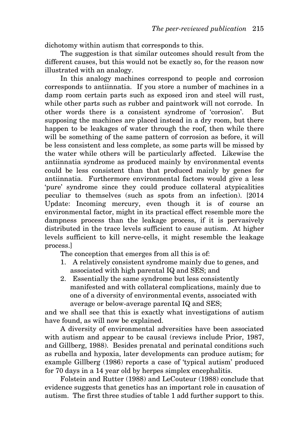dichotomy within autism that corresponds to this.

The suggestion is that similar outcomes should result from the different causes, but this would not be exactly so, for the reason now illustrated with an analogy.

In this analogy machines correspond to people and corrosion corresponds to antiinnatia. If you store a number of machines in a damp room certain parts such as exposed iron and steel will rust, while other parts such as rubber and paintwork will not corrode. In other words there is a consistent syndrome of 'corrosion'. But supposing the machines are placed instead in a dry room, but there happen to be leakages of water through the roof, then while there will be something of the same pattern of corrosion as before, it will be less consistent and less complete, as some parts will be missed by the water while others will be particularly affected. Likewise the antiinnatia syndrome as produced mainly by environmental events could be less consistent than that produced mainly by genes for antiinnatia. Furthermore environmental factors would give a less 'pure' syndrome since they could produce collateral atypicalities peculiar to themselves (such as spots from an infection). [2014 Update: Incoming mercury, even though it is of course an environmental factor, might in its practical effect resemble more the dampness process than the leakage process, if it is pervasively distributed in the trace levels sufficient to cause autism. At higher levels sufficient to kill nerve-cells, it might resemble the leakage process.]

The conception that emerges from all this is of:

- 1. A relatively consistent syndrome mainly due to genes, and associated with high parental IQ and SES; and
- 2. Essentially the same syndrome but less consistently manifested and with collateral complications, mainly due to one of a diversity of environmental events, associated with average or below-average parental IQ and SES;

and we shall see that this is exactly what investigations of autism have found, as will now be explained.

A diversity of environmental adversities have been associated with autism and appear to be causal (reviews include Prior, 1987, and Gillberg, 1988). Besides prenatal and perinatal conditions such as rubella and hypoxia, later developments can produce autism; for example Gillberg (1986) reports a case of 'typical autism' produced for 70 days in a 14 year old by herpes simplex encephalitis.

Folstein and Rutter (1988) and LeCouteur (1988) conclude that evidence suggests that genetics has an important role in causation of autism. The first three studies of table 1 add further support to this.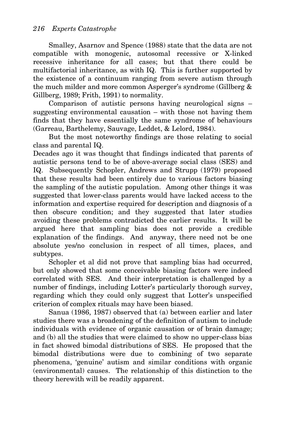Smalley, Asarnov and Spence (1988) state that the data are not compatible with monogenic, autosomal recessive or X-linked recessive inheritance for all cases; but that there could be multifactorial inheritance, as with IQ. This is further supported by the existence of a continuum ranging from severe autism through the much milder and more common Asperger's syndrome (Gillberg & Gillberg, 1989; Frith, 1991) to normality.

Comparison of autistic persons having neurological signs – suggesting environmental causation – with those not having them finds that they have essentially the same syndrome of behaviours (Garreau, Barthelemy, Sauvage, Leddet, & Lelord, 1984).

But the most noteworthy findings are those relating to social class and parental IQ.

Decades ago it was thought that findings indicated that parents of autistic persons tend to be of above-average social class (SES) and IQ. Subsequently Schopler, Andrews and Strupp (1979) proposed that these results had been entirely due to various factors biasing the sampling of the autistic population. Among other things it was suggested that lower-class parents would have lacked access to the information and expertise required for description and diagnosis of a then obscure condition; and they suggested that later studies avoiding these problems contradicted the earlier results. It will be argued here that sampling bias does not provide a credible explanation of the findings. And anyway, there need not be one absolute yes/no conclusion in respect of all times, places, and subtypes.

Schopler et al did not prove that sampling bias had occurred, but only showed that some conceivable biasing factors were indeed correlated with SES. And their interpretation is challenged by a number of findings, including Lotter's particularly thorough survey, regarding which they could only suggest that Lotter's unspecified criterion of complex rituals may have been biased.

Sanua (1986, 1987) observed that (a) between earlier and later studies there was a broadening of the definition of autism to include individuals with evidence of organic causation or of brain damage; and (b) all the studies that were claimed to show no upper-class bias in fact showed bimodal distributions of SES. He proposed that the bimodal distributions were due to combining of two separate phenomena, 'genuine' autism and similar conditions with organic (environmental) causes. The relationship of this distinction to the theory herewith will be readily apparent.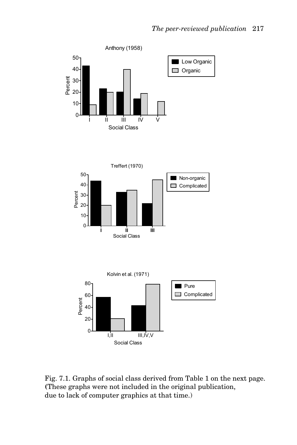

Fig. 7.1. Graphs of social class derived from Table 1 on the next page. **(**These graphs were not included in the original publication, due to lack of computer graphics at that time.)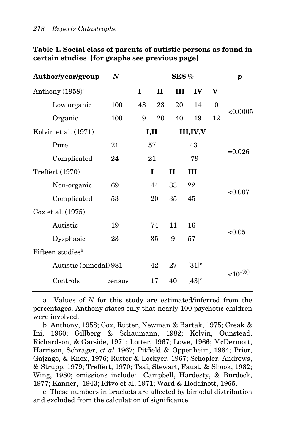#### **Table 1. Social class of parents of autistic persons as found in certain studies [for graphs see previous page]**

| Author/year/group            | $\boldsymbol{N}$ | SES $\%$ |             |             |                     |          | $\boldsymbol{p}$ |  |
|------------------------------|------------------|----------|-------------|-------------|---------------------|----------|------------------|--|
| Anthony (1958) <sup>a</sup>  |                  | I        | $\mathbf H$ | Ш           | IV                  | v        |                  |  |
| Low organic                  | 100              | 43       | 23          | 20          | 14                  | $\theta$ | < 0.0005         |  |
| Organic                      | 100              | 9        | 20          | 40          | 19                  | 12       |                  |  |
| Kolvin et al. (1971)         |                  | I,II     |             | III, IV, V  |                     |          |                  |  |
| Pure                         | 21               | 57       |             |             | 43<br>79            |          | $=0.026$         |  |
| Complicated                  | 24               | 21       |             |             |                     |          |                  |  |
| Treffert (1970)              |                  |          | 1           | $\mathbf H$ | Ш                   |          |                  |  |
| Non-organic                  | 69               |          | 44          | 33          | 22                  |          | ${<}0.007$       |  |
| Complicated                  | 53               |          | 20          | 35          | 45                  |          |                  |  |
| Cox et al. (1975)            |                  |          |             |             |                     |          |                  |  |
| Autistic                     | 19               |          | 74          | 11          | 16                  |          | < 0.05           |  |
| Dysphasic                    | 23               |          | 35          | 9           | 57                  |          |                  |  |
| Fifteen studies <sup>b</sup> |                  |          |             |             |                     |          |                  |  |
| Autistic (bimodal) 981       |                  |          | 42          | 27          | $[31]$ <sup>c</sup> |          |                  |  |
| Controls                     | census           |          | 17          | 40          | $[43]$ <sup>c</sup> |          | ${<}10^{-20}$    |  |

a Values of *N* for this study are estimated/inferred from the percentages; Anthony states only that nearly 100 psychotic children were involved.

b Anthony, 1958; Cox, Rutter, Newman & Bartak, 1975; Creak & Ini, 1960; Gillberg & Schaumann, 1982; Kolvin, Ounstead, Richardson, & Garside, 1971; Lotter, 1967; Lowe, 1966; McDermott, Harrison, Schrager, *et al* 1967; Pitfield & Oppenheim, 1964; Prior, Gajzago, & Knox, 1976; Rutter & Lockyer, 1967; Schopler, Andrews, & Strupp, 1979; Treffert, 1970; Tsai, Stewart, Faust, & Shook, 1982; Wing, 1980; omissions include: Campbell, Hardesty, & Burdock, 1977; Kanner, 1943; Ritvo et al, 1971; Ward & Hoddinott, 1965.

c These numbers in brackets are affected by bimodal distribution and excluded from the calculation of significance.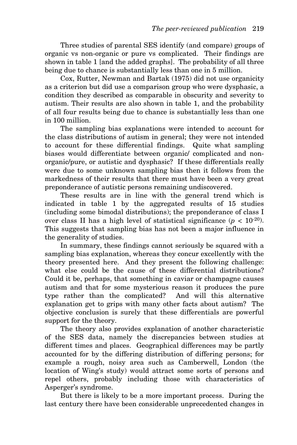Three studies of parental SES identify (and compare) groups of organic vs non-organic or pure vs complicated. Their findings are shown in table 1 [and the added graphs]. The probability of all three being due to chance is substantially less than one in 5 million.

Cox, Rutter, Newman and Bartak (1975) did not use organicity as a criterion but did use a comparison group who were dysphasic, a condition they described as comparable in obscurity and severity to autism. Their results are also shown in table 1, and the probability of all four results being due to chance is substantially less than one in 100 million.

The sampling bias explanations were intended to account for the class distributions of autism in general; they were not intended to account for these differential findings. Quite what sampling biases would differentiate between organic/ complicated and nonorganic/pure, or autistic and dysphasic? If these differentials really were due to some unknown sampling bias then it follows from the markedness of their results that there must have been a very great preponderance of autistic persons remaining undiscovered.

These results are in line with the general trend which is indicated in table 1 by the aggregated results of 15 studies (including some bimodal distributions); the preponderance of class I over class II has a high level of statistical significance  $(p < 10^{-20})$ . This suggests that sampling bias has not been a major influence in the generality of studies.

In summary, these findings cannot seriously be squared with a sampling bias explanation, whereas they concur excellently with the theory presented here. And they present the following challenge: what else could be the cause of these differential distributions? Could it be, perhaps, that something in caviar or champagne causes autism and that for some mysterious reason it produces the pure type rather than the complicated? And will this alternative explanation get to grips with many other facts about autism? The objective conclusion is surely that these differentials are powerful support for the theory.

The theory also provides explanation of another characteristic of the SES data, namely the discrepancies between studies at different times and places. Geographical differences may be partly accounted for by the differing distribution of differing persons; for example a rough, noisy area such as Camberwell, London (the location of Wing's study) would attract some sorts of persons and repel others, probably including those with characteristics of Asperger's syndrome.

But there is likely to be a more important process. During the last century there have been considerable unprecedented changes in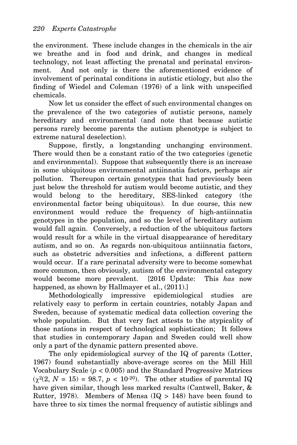the environment. These include changes in the chemicals in the air we breathe and in food and drink, and changes in medical technology, not least affecting the prenatal and perinatal environment. And not only is there the aforementioned evidence of involvement of perinatal conditions in autistic etiology, but also the finding of Wiedel and Coleman (1976) of a link with unspecified chemicals.

Now let us consider the effect of such environmental changes on the prevalence of the two categories of autistic persons, namely hereditary and environmental (and note that because autistic persons rarely become parents the autism phenotype is subject to extreme natural deselection).

Suppose, firstly, a longstanding unchanging environment. There would then be a constant ratio of the two categories (genetic and environmental). Suppose that subsequently there is an increase in some ubiquitous environmental antiinnatia factors, perhaps air pollution. Thereupon certain genotypes that had previously been just below the threshold for autism would become autistic, and they would belong to the hereditary, SES-linked category (the environmental factor being ubiquitous). In due course, this new environment would reduce the frequency of high-antiinnatia genotypes in the population, and so the level of hereditary autism would fall again. Conversely, a reduction of the ubiquitous factors would result for a while in the virtual disappearance of hereditary autism, and so on. As regards non-ubiquitous antiinnatia factors, such as obstetric adversities and infections, a different pattern would occur. If a rare perinatal adversity were to become somewhat more common, then obviously, autism of the environmental category would become more prevalent. [2016 Update: This *has* now happened, as shown by Hallmayer et al., (2011).]

Methodologically impressive epidemiological studies are relatively easy to perform in certain countries, notably Japan and Sweden, because of systematic medical data collection covering the whole population. But that very fact attests to the atypicality of those nations in respect of technological sophistication; It follows that studies in contemporary Japan and Sweden could well show only a part of the dynamic pattern presented above.

The only epidemiological survey of the IQ of parents (Lotter, 1967) found substantially above-average scores on the Mill Hill Vocabulary Scale (*p* < 0.005) and the Standard Progressive Matrices  $(\chi^2(2, N = 15) = 98.7, p < 10^{-20})$ . The other studies of parental IQ have given similar, though less marked results (Cantwell, Baker, & Rutter, 1978). Members of Mensa  $(IQ > 148)$  have been found to have three to six times the normal frequency of autistic siblings and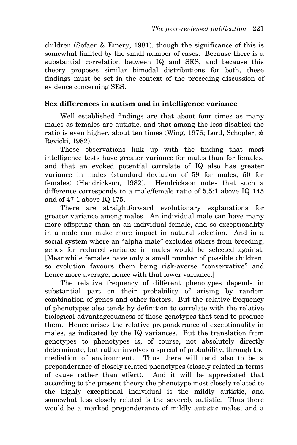children (Sofaer & Emery, 1981). though the significance of this is somewhat limited by the small number of cases. Because there is a substantial correlation between IQ and SES, and because this theory proposes similar bimodal distributions for both, these findings must be set in the context of the preceding discussion of evidence concerning SES.

#### **Sex differences in autism and in intelligence variance**

Well established findings are that about four times as many males as females are autistic, and that among the less disabled the ratio is even higher, about ten times (Wing, 1976; Lord, Schopler, & Revicki, 1982).

These observations link up with the finding that most intelligence tests have greater variance for males than for females, and that an evoked potential correlate of IQ also has greater variance in males (standard deviation of 59 for males, 50 for females) (Hendrickson, 1982). Hendrickson notes that such a difference corresponds to a male/female ratio of 5.5:1 above IQ 145 and of 47:1 above IQ 175.

There are straightforward evolutionary explanations for greater variance among males. An individual male can have many more offspring than an an individual female, and so exceptionality in a male can make more impact in natural selection. And in a social system where an "alpha male" excludes others from breeding, genes for reduced variance in males would be selected against. [Meanwhile females have only a small number of possible children, so evolution favours them being risk-averse "conservative" and hence more average, hence with that lower variance.]

The relative frequency of different phenotypes depends in substantial part on their probability of arising by random combination of genes and other factors. But the relative frequency of phenotypes also tends by definition to correlate with the relative biological advantageousness of those genotypes that tend to produce them. Hence arises the relative preponderance of exceptionality in males, as indicated by the IQ variances. But the translation from genotypes to phenotypes is, of course, not absolutely directly determinate, but rather involves a spread of probability, through the mediation of environment. Thus there will tend also to be a preponderance of closely related phenotypes (closely related in terms of cause rather than effect). And it will be appreciated that according to the present theory the phenotype most closely related to the highly exceptional individual is the mildly autistic, and somewhat less closely related is the severely autistic. Thus there would be a marked preponderance of mildly autistic males, and a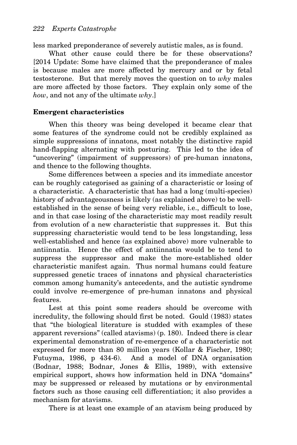less marked preponderance of severely autistic males, as is found.

What other cause could there be for these observations? [2014 Update: Some have claimed that the preponderance of males is because males are more affected by mercury and or by fetal testosterone. But that merely moves the question on to *why* males are more affected by those factors. They explain only some of the *how*, and not any of the ultimate *why*.]

#### **Emergent characteristics**

When this theory was being developed it became clear that some features of the syndrome could not be credibly explained as simple suppressions of innatons, most notably the distinctive rapid hand-flapping alternating with posturing. This led to the idea of "uncovering" (impairment of suppressors) of pre-human innatons, and thence to the following thoughts.

Some differences between a species and its immediate ancestor can be roughly categorised as gaining of a characteristic or losing of a characteristic. A characteristic that has had a long (multi-species) history of advantageousness is likely (as explained above) to be wellestablished in the sense of being very reliable, i.e., difficult to lose, and in that case losing of the characteristic may most readily result from evolution of a new characteristic that suppresses it. But this suppressing characteristic would tend to be less longstanding, less well-established and hence (as explained above) more vulnerable to antiinnatia. Hence the effect of antiinnatia would be to tend to suppress the suppressor and make the more-established older characteristic manifest again. Thus normal humans could feature suppressed genetic traces of innatons and physical characteristics common among humanity's antecedents, and the autistic syndrome could involve re-emergence of pre-human innatons and physical features.

Lest at this point some readers should be overcome with incredulity, the following should first be noted. Gould (1983) states that "the biological literature is studded with examples of these apparent reversions" (called atavisms) (p. 180). Indeed there is clear experimental demonstration of re-emergence of a characteristic not expressed for more than 80 million years (Kollar & Fischer, 1980; Futuyma, 1986, p 434-6). And a model of DNA organisation (Bodnar, 1988; Bodnar, Jones & Ellis, 1989), with extensive empirical support, shows how information held in DNA "domains" may be suppressed or released by mutations or by environmental factors such as those causing cell differentiation; it also provides a mechanism for atavisms.

There is at least one example of an atavism being produced by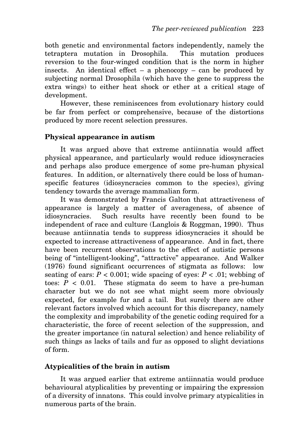both genetic and environmental factors independently, namely the tetraptera mutation in Drosophila. This mutation produces reversion to the four-winged condition that is the norm in higher insects. An identical effect – a phenocopy – can be produced by subjecting normal Drosophila (which have the gene to suppress the extra wings) to either heat shock or ether at a critical stage of development.

However, these reminiscences from evolutionary history could be far from perfect or comprehensive, because of the distortions produced by more recent selection pressures.

#### **Physical appearance in autism**

It was argued above that extreme antiinnatia would affect physical appearance, and particularly would reduce idiosyncracies and perhaps also produce emergence of some pre-human physical features. In addition, or alternatively there could be loss of humanspecific features (idiosyncracies common to the species), giving tendency towards the average mammalian form.

It was demonstrated by Francis Galton that attractiveness of appearance is largely a matter of averageness, of absence of idiosyncracies. Such results have recently been found to be independent of race and culture (Langlois & Roggman, 1990). Thus because antiinnatia tends to suppress idiosyncracies it should be expected to increase attractiveness of appearance. And in fact, there have been recurrent observations to the effect of autistic persons being of "intelligent-looking", "attractive" appearance. And Walker (1976) found significant occurrences of stigmata as follows: low seating of ears:  $P < 0.001$ ; wide spacing of eyes:  $P < .01$ ; webbing of toes:  $P < 0.01$ . These stigmata do seem to have a pre-human character but we do not see what might seem more obviously expected, for example fur and a tail. But surely there are other relevant factors involved which account for this discrepancy, namely the complexity and improbability of the genetic coding required for a characteristic, the force of recent selection of the suppression, and the greater importance (in natural selection) and hence reliability of such things as lacks of tails and fur as opposed to slight deviations of form.

#### **Atypicalities of the brain in autism**

It was argued earlier that extreme antiinnatia would produce behavioural atyplicalities by preventing or impairing the expression of a diversity of innatons. This could involve primary atypicalities in numerous parts of the brain.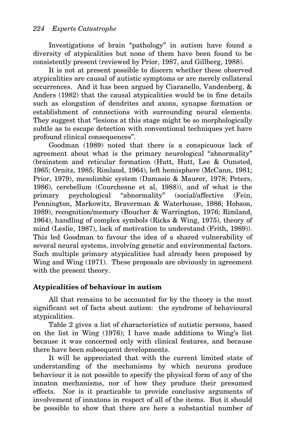Investigations of brain "pathology" in autism have found a diversity of atypicalities but none of them have been found to be consistently present (reviewed by Prior, 1987, and Gillberg, 1988).

It is not at present possible to discern whether these observed atypicalities are causal of autistic symptoms or are merely collateral occurrences. And it has been argued by Ciaranello, Vandenberg, & Anders (1982) that the causal atypicalities would be in fine details such as elongation of dendrites and axons, synapse formation or establishment of connections with surrounding neural elements. They suggest that "lesions at this stage might be so morphologically subtle as to escape detection with conventional techniques yet have profound clinical consequences".

Goodman (1989) noted that there is a conspicuous lack of agreement about what is the primary neurological "abnormality" (brainstem and reticular formation (Hutt, Hutt, Lee & Ounsted, 1965; Ornitz, 1985; Rimland, 1964), left hemisphere (McCann, 1981; Prior, 1979), mesolimbic system (Damasio & Maurer, 1978; Peters, 1986), cerebellum (Courchesne et al, 1988)), and of what is the primary psychological "abnormality" (social/affective (Fein, Pennington, Markowitz, Braverman & Waterhouse, 1986; Hobson, 1989), recognition/memory (Boucher & Warrington, 1976; Rimland, 1964), handling of complex symbols (Ricks & Wing, 1975), theory of mind (Leslie, 1987), lack of motivation to understand (Frith, 1989)). This led Goodman to favour the idea of a shared vulnerability of several neural systems, involving genetic and environmental factors. Such multiple primary atypicalities had already been proposed by Wing and Wing (1971). These proposals are obviously in agreement with the present theory.

#### **Atypicalities of behaviour in autism**

All that remains to be accounted for by the theory is the most significant set of facts about autism: the syndrome of behavioural atypicalities.

Table 2 gives a list of characteristics of autistic persons, based on the list in Wing (1976); I have made additions to Wing's list because it was concerned only with clinical features, and because there have been subsequent developments.

It will be appreciated that with the current limited state of understanding of the mechanisms by which neurons produce behaviour it is not possible to specify the physical form of any of the innaton mechanisms, nor of how they produce their presumed effects. Nor is it practicable to provide conclusive arguments of involvement of innatons in respect of all of the items. But it should be possible to show that there are here a substantial number of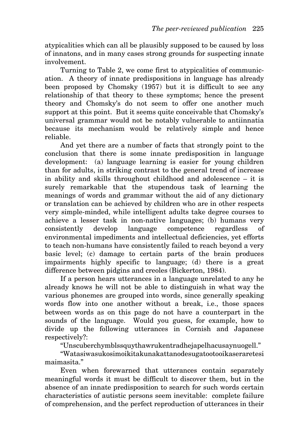atypicalities which can all be plausibly supposed to be caused by loss of innatons, and in many cases strong grounds for suspecting innate involvement.

Turning to Table 2, we come first to atypicalities of communication. A theory of innate predispositions in language has already been proposed by Chomsky (1957) but it is difficult to see any relationship of that theory to these symptoms; hence the present theory and Chomsky's do not seem to offer one another much support at this point. But it seems quite conceivable that Chomsky's universal grammar would not be notably vulnerable to antiinnatia because its mechanism would be relatively simple and hence reliable.

And yet there are a number of facts that strongly point to the conclusion that there is some innate predisposition in language development: (a) language learning is easier for young children than for adults, in striking contrast to the general trend of increase in ability and skills throughout childhood and adolescence – it is surely remarkable that the stupendous task of learning the meanings of words and grammar without the aid of any dictionary or translation can be achieved by children who are in other respects very simple-minded, while intelligent adults take degree courses to achieve a lesser task in non-native languages; (b) humans very consistently develop language competence regardless of environmental impediments and intellectual deficiencies, yet efforts to teach non-humans have consistently failed to reach beyond a very basic level; (c) damage to certain parts of the brain produces impairments highly specific to language; (d) there is a great difference between pidgins and creoles (Bickerton, 1984).

If a person hears utterances in a language unrelated to any he already knows he will not be able to distinguish in what way the various phonemes are grouped into words, since generally speaking words flow into one another without a break, i.e., those spaces between words as on this page do not have a counterpart in the sounds of the language. Would you guess, for example, how to divide up the following utterances in Cornish and Japanese respectively?:

"Unscuberchymblssquythawrukentradhejapelhacusaynuogell."

"Watasiwasukosimoikitakunakattanodesugatootooikaseraretesi maimasita"

Even when forewarned that utterances contain separately meaningful words it must be difficult to discover them, but in the absence of an innate predisposition to search for such words certain characteristics of autistic persons seem inevitable: complete failure of comprehension, and the perfect reproduction of utterances in their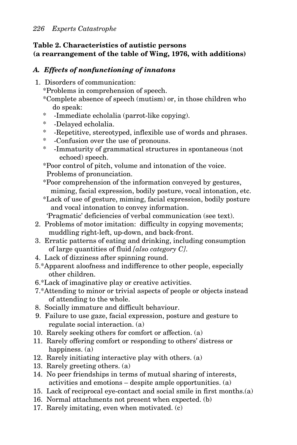## **Table 2. Characteristics of autistic persons (a rearrangement of the table of Wing, 1976, with additions)**

# *A. Effects of nonfunctioning of innatons*

- 1. Disorders of communication:
	- \*Problems in comprehension of speech.
	- \*Complete absence of speech (mutism) or, in those children who do speak:
	- \* -Immediate echolalia (parrot-like copying).
	- \* -Delayed echolalia.
	- \* -Repetitive, stereotyped, inflexible use of words and phrases.
	- \* -Confusion over the use of pronouns.
	- \* -Immaturity of grammatical structures in spontaneous (not echoed) speech.
	- \*Poor control of pitch, volume and intonation of the voice. Problems of pronunciation.
	- \*Poor comprehension of the information conveyed by gestures, miming, facial expression, bodily posture, vocal intonation, etc.
	- \*Lack of use of gesture, miming, facial expression, bodily posture and vocal intonation to convey information.
		- 'Pragmatic' deficiencies of verbal communication (see text).
- 2. Problems of motor imitation: difficulty in copying movements; muddling right-left, up-down, and back-front.
- 3. Erratic patterns of eating and drinking, including consumption of large quantities of fluid *[also category C]*.
- 4. Lack of dizziness after spinning round.
- 5.\*Apparent aloofness and indifference to other people, especially other children.
- 6.\*Lack of imaginative play or creative activities.
- 7.\*Attending to minor or trivial aspects of people or objects instead of attending to the whole.
- 8. Socially immature and difficult behaviour.
- 9. Failure to use gaze, facial expression, posture and gesture to regulate social interaction. (a)
- 10. Rarely seeking others for comfort or affection. (a)
- 11. Rarely offering comfort or responding to others' distress or happiness. (a)
- 12. Rarely initiating interactive play with others. (a)
- 13. Rarely greeting others. (a)
- 14. No peer friendships in terms of mutual sharing of interests, activities and emotions – despite ample opportunities. (a)
- 15. Lack of reciprocal eye-contact and social smile in first months.(a)
- 16. Normal attachments not present when expected. (b)
- 17. Rarely imitating, even when motivated. (c)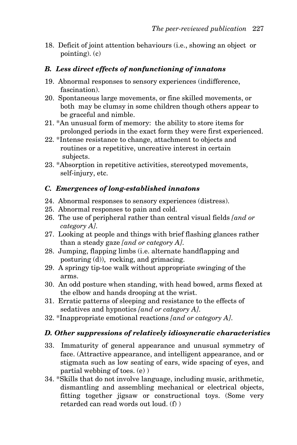18. Deficit of joint attention behaviours (i.e., showing an object or pointing). (c)

## *B. Less direct effects of nonfunctioning of innatons*

- 19. Abnormal responses to sensory experiences (indifference, fascination).
- 20. Spontaneous large movements, or fine skilled movements, or both may be clumsy in some children though others appear to be graceful and nimble.
- 21. \*An unusual form of memory: the ability to store items for prolonged periods in the exact form they were first experienced.
- 22. \*Intense resistance to change, attachment to objects and routines or a repetitive, uncreative interest in certain subjects.
- 23. \*Absorption in repetitive activities, stereotyped movements, self-injury, etc.

## *C. Emergences of long-established innatons*

- 24. Abnormal responses to sensory experiences (distress).
- 25. Abnormal responses to pain and cold.
- 26. The use of peripheral rather than central visual fields *[and or category A]*.
- 27. Looking at people and things with brief flashing glances rather than a steady gaze *[and or category A]*.
- 28. Jumping, flapping limbs (i.e. alternate handflapping and posturing (d)), rocking, and grimacing.
- 29. A springy tip-toe walk without appropriate swinging of the arms.
- 30. An odd posture when standing, with head bowed, arms flexed at the elbow and hands drooping at the wrist.
- 31. Erratic patterns of sleeping and resistance to the effects of sedatives and hypnotics *[and or category A]*.
- 32. \*Inappropriate emotional reactions *[and or category A]*.

## *D. Other suppressions of relatively idiosyncratic characteristics*

- 33. Immaturity of general appearance and unusual symmetry of face. (Attractive appearance, and intelligent appearance, and or stigmata such as low seating of ears, wide spacing of eyes, and partial webbing of toes. (e) )
- 34. \*Skills that do not involve language, including music, arithmetic, dismantling and assembling mechanical or electrical objects, fitting together jigsaw or constructional toys. (Some very retarded can read words out loud. (f) )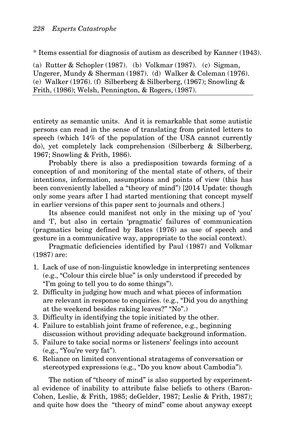\* Items essential for diagnosis of autism as described by Kanner (1943).

(a) Rutter & Schopler (1987). (b) Volkmar (1987). (c) Sigman, Ungerer, Mundy & Sherman (1987). (d) Walker & Coleman (1976). (e) Walker (1976). (f) Silberberg & Silberberg, (1967); Snowling & Frith, (1986); Welsh, Pennington, & Rogers, (1987).

entirety as semantic units. And it is remarkable that some autistic persons can read in the sense of translating from printed letters to speech (which 14% of the population of the USA cannot currently do), yet completely lack comprehension (Silberberg & Silberberg, 1967; Snowling & Frith, 1986).

Probably there is also a predisposition towards forming of a conception of and monitoring of the mental state of others, of their intentions, information, assumptions and points of view (this has been conveniently labelled a "theory of mind") [2014 Update: though only some years after I had started mentioning that concept myself in earlier versions of this paper sent to journals and others.]

Its absence could manifest not only in the mixing up of 'you' and 'I', but also in certain 'pragmatic' failures of communication (pragmatics being defined by Bates (1976) as use of speech and gesture in a communicative way, appropriate to the social context).

Pragmatic deficiencies identified by Paul (1987) and Volkmar (1987) are:

- 1. Lack of use of non-linguistic knowledge in interpreting sentences (e.g., "Colour this circle blue" is only understood if preceded by "I'm going to tell you to do some things").
- 2. Difficulty in judging how much and what pieces of information are relevant in response to enquiries. (e.g., "Did you do anything at the weekend besides raking leaves?" "No".)
- 3. Difficulty in identifying the topic initiated by the other.
- 4. Failure to establish joint frame of reference, e.g., beginning discussion without providing adequate background information.
- 5. Failure to take social norms or listeners' feelings into account (e,g., "You're very fat").
- 6. Reliance on limited conventional stratagems of conversation or stereotyped expressions (e.g., "Do you know about Cambodia").

The notion of "theory of mind" is also supported by experimental evidence of inability to attribute false beliefs to others (Baron-Cohen, Leslie, & Frith, 1985; deGelder, 1987; Leslie & Frith, 1987); and quite how does the "theory of mind" come about anyway except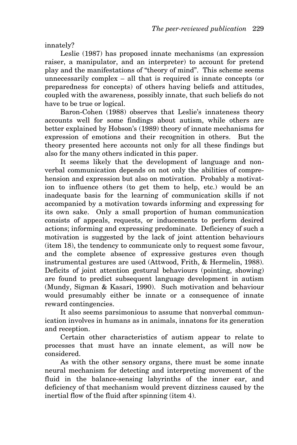innately?

Leslie (1987) has proposed innate mechanisms (an expression raiser, a manipulator, and an interpreter) to account for pretend play and the manifestations of "theory of mind". This scheme seems unnecessarily complex – all that is required is innate concepts (or preparedness for concepts) of others having beliefs and attitudes, coupled with the awareness, possibly innate, that such beliefs do not have to be true or logical.

Baron-Cohen (1988) observes that Leslie's innateness theory accounts well for some findings about autism, while others are better explained by Hobson's (1989) theory of innate mechanisms for expression of emotions and their recognition in others. But the theory presented here accounts not only for all these findings but also for the many others indicated in this paper.

It seems likely that the development of language and nonverbal communication depends on not only the abilities of comprehension and expression but also on motivation. Probably a motivation to influence others (to get them to help, etc.) would be an inadequate basis for the learning of communication skills if not accompanied by a motivation towards informing and expressing for its own sake. Only a small proportion of human communication consists of appeals, requests, or inducements to perform desired actions; informing and expressing predominate. Deficiency of such a motivation is suggested by the lack of joint attention behaviours (item 18), the tendency to communicate only to request some favour, and the complete absence of expressive gestures even though instrumental gestures are used (Attwood, Frith, & Hermelin, 1988). Deficits of joint attention gestural behaviours (pointing, showing) are found to predict subsequent language development in autism (Mundy, Sigman & Kasari, 1990). Such motivation and behaviour would presumably either be innate or a consequence of innate reward contingencies.

It also seems parsimonious to assume that nonverbal communication involves in humans as in animals, innatons for its generation and reception.

Certain other characteristics of autism appear to relate to processes that must have an innate element, as will now be considered.

As with the other sensory organs, there must be some innate neural mechanism for detecting and interpreting movement of the fluid in the balance-sensing labyrinths of the inner ear, and deficiency of that mechanism would prevent dizziness caused by the inertial flow of the fluid after spinning (item 4).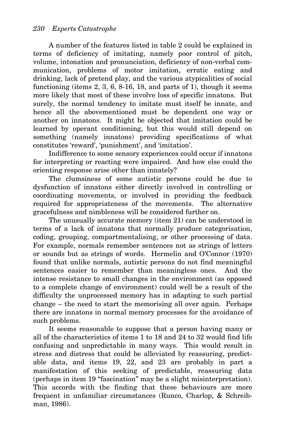A number of the features listed in table 2 could be explained in terms of deficiency of imitating, namely poor control of pitch, volume, intonation and pronunciation, deficiency of non-verbal communication, problems of motor imitation, erratic eating and drinking, lack of pretend play, and the various atypicalities of social functioning (items 2, 3, 6, 8-16, 18, and parts of 1), though it seems more likely that most of these involve loss of specific innatons. But surely, the normal tendency to imitate must itself be innate, and hence all the abovementioned must be dependent one way or another on innatons. It might be objected that imitation could be learned by operant conditioning, but this would still depend on something (namely innatons) providing specifications of what constitutes 'reward', 'punishment', and 'imitation'.

Indifference to some sensory experiences could occur if innatons for interpreting or reacting were impaired. And how else could the orienting response arise other than innately?

The clumsiness of some autistic persons could be due to dysfunction of innatons either directly involved in controlling or coordinating movements, or involved in providing the feedback required for appropriateness of the movements. The alternative gracefulness and nimbleness will be considered further on.

The unusually accurate memory (item 21) can be understood in terms of a lack of innatons that normally produce categorisation, coding, grouping, compartmentalising, or other processing of data. For example, normals remember sentences not as strings of letters or sounds but as strings of words. Hermelin and O'Connor (1970) found that unlike normals, autistic persons do not find meaningful sentences easier to remember than meaningless ones. And the intense resistance to small changes in the environment (as opposed to a complete change of environment) could well be a result of the difficulty the unprocessed memory has in adapting to such partial change – the need to start the memorising all over again. Perhaps there are innatons in normal memory processes for the avoidance of such problems.

It seems reasonable to suppose that a person having many or all of the characteristics of items 1 to 18 and 24 to 32 would find life confusing and unpredictable in many ways. This would result in stress and distress that could be alleviated by reassuring, predictable data, and items 19, 22, and 23 are probably in part a manifestation of this seeking of predictable, reassuring data (perhaps in item 19 "fascination" may be a slight misinterpretation). This accords with the finding that these behaviours are more frequent in unfamiliar circumstances (Runco, Charlop, & Schreibman, 1986).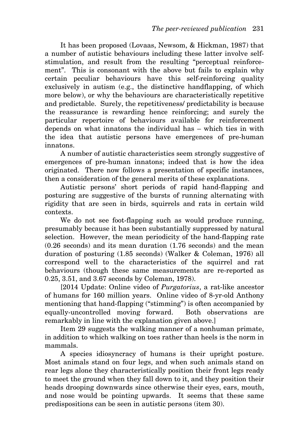It has been proposed (Lovaas, Newsom, & Hickman, 1987) that a number of autistic behaviours including these latter involve selfstimulation, and result from the resulting "perceptual reinforcement". This is consonant with the above but fails to explain why certain peculiar behaviours have this self-reinforcing quality exclusively in autism (e.g., the distinctive handflapping, of which more below), or why the behaviours are characteristically repetitive and predictable. Surely, the repetitiveness/ predictability is because the reassurance is rewarding hence reinforcing; and surely the particular repertoire of behaviours available for reinforcement depends on what innatons the individual has – which ties in with the idea that autistic persons have emergences of pre-human innatons.

A number of autistic characteristics seem strongly suggestive of emergences of pre-human innatons; indeed that is how the idea originated. There now follows a presentation of specific instances, then a consideration of the general merits of these explanations.

Autistic persons' short periods of rapid hand-flapping and posturing are suggestive of the bursts of running alternating with rigidity that are seen in birds, squirrels and rats in certain wild contexts.

We do not see foot-flapping such as would produce running, presumably because it has been substantially suppressed by natural selection. However, the mean periodicity of the hand-flapping rate (0.26 seconds) and its mean duration (1.76 seconds) and the mean duration of posturing (1.85 seconds) (Walker & Coleman, 1976) all correspond well to the characteristics of the squirrel and rat behaviours (though these same measurements are re-reported as 0.25, 3.51, and 3.67 seconds by Coleman, 1978).

[2014 Update: Online video of *Purgatorius*, a rat-like ancestor of humans for 160 million years. Online video of 8-yr-old Anthony mentioning that hand-flapping ("stimming") is often accompanied by equally-uncontrolled moving forward. Both observations are remarkably in line with the explanation given above.]

Item 29 suggests the walking manner of a nonhuman primate, in addition to which walking on toes rather than heels is the norm in mammals.

A species idiosyncracy of humans is their upright posture. Most animals stand on four legs, and when such animals stand on rear legs alone they characteristically position their front legs ready to meet the ground when they fall down to it, and they position their heads drooping downwards since otherwise their eyes, ears, mouth, and nose would be pointing upwards. It seems that these same predispositions can be seen in autistic persons (item 30).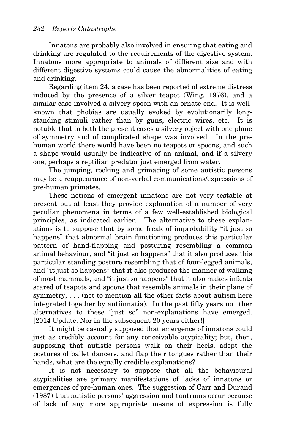Innatons are probably also involved in ensuring that eating and drinking are regulated to the requirements of the digestive system. Innatons more appropriate to animals of different size and with different digestive systems could cause the abnormalities of eating and drinking.

Regarding item 24, a case has been reported of extreme distress induced by the presence of a silver teapot (Wing, 1976), and a similar case involved a silvery spoon with an ornate end. It is wellknown that phobias are usually evoked by evolutionarily longstanding stimuli rather than by guns, electric wires, etc. It is notable that in both the present cases a silvery object with one plane of symmetry and of complicated shape was involved. In the prehuman world there would have been no teapots or spoons, and such a shape would usually be indicative of an animal, and if a silvery one, perhaps a reptilian predator just emerged from water.

The jumping, rocking and grimacing of some autistic persons may be a reappearance of non-verbal communications/expressions of pre-human primates.

These notions of emergent innatons are not very testable at present but at least they provide explanation of a number of very peculiar phenomena in terms of a few well-established biological principles, as indicated earlier. The alternative to these explanations is to suppose that by some freak of improbability "it just so happens" that abnormal brain functioning produces this particular pattern of hand-flapping and posturing resembling a common animal behaviour, and "it just so happens" that it also produces this particular standing posture resembling that of four-legged animals, and "it just so happens" that it also produces the manner of walking of most mammals, and "it just so happens" that it also makes infants scared of teapots and spoons that resemble animals in their plane of symmetry, . . . (not to mention all the other facts about autism here integrated together by antiinnatia). In the past fifty years no other alternatives to these "just so" non-explanations have emerged. [2014 Update: Nor in the subsequent 20 years either!]

It might be casually supposed that emergence of innatons could just as credibly account for any conceivable atypicality; but, then, supposing that autistic persons walk on their heels, adopt the postures of ballet dancers, and flap their tongues rather than their hands, what are the equally credible explanations?

It is not necessary to suppose that all the behavioural atypicalities are primary manifestations of lacks of innatons or emergences of pre-human ones. The suggestion of Carr and Durand (1987) that autistic persons' aggression and tantrums occur because of lack of any more appropriate means of expression is fully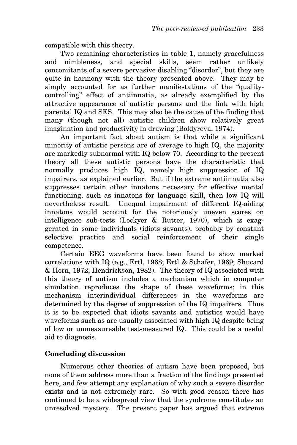compatible with this theory.

Two remaining characteristics in table 1, namely gracefulness and nimbleness, and special skills, seem rather unlikely concomitants of a severe pervasive disabling "disorder", but they are quite in harmony with the theory presented above. They may be simply accounted for as further manifestations of the "qualitycontrolling" effect of antiinnatia, as already exemplified by the attractive appearance of autistic persons and the link with high parental IQ and SES. This may also be the cause of the finding that many (though not all) autistic children show relatively great imagination and productivity in drawing (Boldyreva, 1974).

An important fact about autism is that while a significant minority of autistic persons are of average to high IQ, the majority are markedly subnormal with IQ below 70. According to the present theory all these autistic persons have the characteristic that normally produces high IQ, namely high suppression of IQ impairers, as explained earlier. But if the extreme antiinnatia also suppresses certain other innatons necessary for effective mental functioning, such as innatons for language skill, then low IQ will nevertheless result. Unequal impairment of different IQ-aiding innatons would account for the notoriously uneven scores on intelligence sub-tests (Lockyer & Rutter, 1970), which is exaggerated in some individuals (idiots savants), probably by constant selective practice and social reinforcement of their single competence.

Certain EEG waveforms have been found to show marked correlations with IQ (e.g., Ertl, 1968; Ertl & Schafer, 1969; Shucard & Horn, 1972; Hendrickson, 1982). The theory of IQ associated with this theory of autism includes a mechanism which in computer simulation reproduces the shape of these waveforms; in this mechanism interindividual differences in the waveforms are determined by the degree of suppression of the IQ impairers. Thus it is to be expected that idiots savants and autistics would have waveforms such as are usually associated with high IQ despite being of low or unmeasureable test-measured IQ. This could be a useful aid to diagnosis.

#### **Concluding discussion**

Numerous other theories of autism have been proposed, but none of them address more than a fraction of the findings presented here, and few attempt any explanation of why such a severe disorder exists and is not extremely rare. So with good reason there has continued to be a widespread view that the syndrome constitutes an unresolved mystery. The present paper has argued that extreme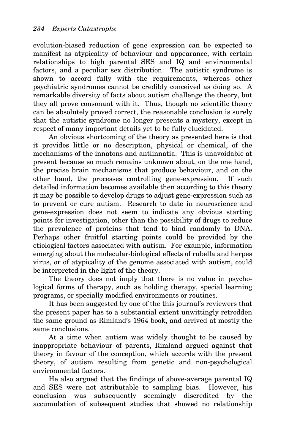evolution-biased reduction of gene expression can be expected to manifest as atypicality of behaviour and appearance, with certain relationships to high parental SES and IQ and environmental factors, and a peculiar sex distribution. The autistic syndrome is shown to accord fully with the requirements, whereas other psychiatric syndromes cannot be credibly conceived as doing so. A remarkable diversity of facts about autism challenge the theory, but they all prove consonant with it. Thus, though no scientific theory can be absolutely proved correct, the reasonable conclusion is surely that the autistic syndrome no longer presents a mystery, except in respect of many important details yet to be fully elucidated.

An obvious shortcoming of the theory as presented here is that it provides little or no description, physical or chemical, of the mechanisms of the innatons and antiinnatia. This is unavoidable at present because so much remains unknown about, on the one hand, the precise brain mechanisms that produce behaviour, and on the other hand, the processes controlling gene-expression. If such detailed information becomes available then according to this theory it may be possible to develop drugs to adjust gene-expression such as to prevent or cure autism. Research to date in neuroscience and gene-expression does not seem to indicate any obvious starting points for investigation, other than the possibility of drugs to reduce the prevalence of proteins that tend to bind randomly to DNA. Perhaps other fruitful starting points could be provided by the etiological factors associated with autism. For example, information emerging about the molecular-biological effects of rubella and herpes virus, or of atypicality of the genome associated with autism, could be interpreted in the light of the theory.

The theory does not imply that there is no value in psychological forms of therapy, such as holding therapy, special learning programs, or specially modified environments or routines.

It has been suggested by one of the this journal's reviewers that the present paper has to a substantial extent unwittingly retrodden the same ground as Rimland's 1964 book, and arrived at mostly the same conclusions.

At a time when autism was widely thought to be caused by inappropriate behaviour of parents, Rimland argued against that theory in favour of the conception, which accords with the present theory, of autism resulting from genetic and non-psychological environmental factors.

He also argued that the findings of above-average parental IQ and SES were not attributable to sampling bias. However, his conclusion was subsequently seemingly discredited by the accumulation of subsequent studies that showed no relationship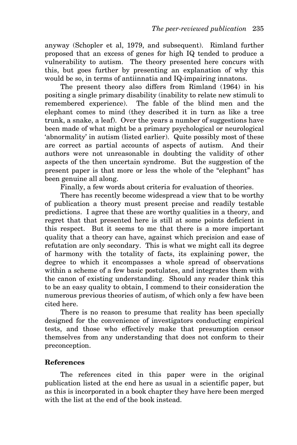anyway (Schopler et al, 1979, and subsequent). Rimland further proposed that an excess of genes for high IQ tended to produce a vulnerability to autism. The theory presented here concurs with this, but goes further by presenting an explanation of why this would be so, in terms of antiinnatia and IQ-impairing innatons.

The present theory also differs from Rimland (1964) in his positing a single primary disability (inability to relate new stimuli to remembered experience). The fable of the blind men and the elephant comes to mind (they described it in turn as like a tree trunk, a snake, a leaf). Over the years a number of suggestions have been made of what might be a primary psychological or neurological 'abnormality' in autism (listed earlier). Quite possibly most of these are correct as partial accounts of aspects of autism. And their authors were not unreasonable in doubting the validity of other aspects of the then uncertain syndrome. But the suggestion of the present paper is that more or less the whole of the "elephant" has been genuine all along.

Finally, a few words about criteria for evaluation of theories.

There has recently become widespread a view that to be worthy of publication a theory must present precise and readily testable predictions. I agree that these are worthy qualities in a theory, and regret that that presented here is still at some points deficient in this respect. But it seems to me that there is a more important quality that a theory can have, against which precision and ease of refutation are only secondary. This is what we might call its degree of harmony with the totality of facts, its explaining power, the degree to which it encompasses a whole spread of observations within a scheme of a few basic postulates, and integrates them with the canon of existing understanding. Should any reader think this to be an easy quality to obtain, I commend to their consideration the numerous previous theories of autism, of which only a few have been cited here.

There is no reason to presume that reality has been specially designed for the convenience of investigators conducting empirical tests, and those who effectively make that presumption censor themselves from any understanding that does not conform to their preconception.

#### **References**

The references cited in this paper were in the original publication listed at the end here as usual in a scientific paper, but as this is incorporated in a book chapter they have here been merged with the list at the end of the book instead.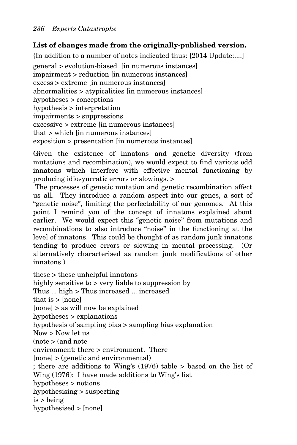# **List of changes made from the originally-published version.**

{In addition to a number of notes indicated thus: [2014 Update:....] general > evolution-biased [in numerous instances] impairment > reduction [in numerous instances] excess > extreme [in numerous instances] abnormalities > atypicalities [in numerous instances] hypotheses > conceptions hypothesis > interpretation impairments > suppressions excessive > extreme [in numerous instances] that > which [in numerous instances] exposition > presentation [in numerous instances]

Given the existence of innatons and genetic diversity (from mutations and recombination), we would expect to find various odd innatons which interfere with effective mental functioning by producing idiosyncratic errors or slowings. >

 The processes of genetic mutation and genetic recombination affect us all. They introduce a random aspect into our genes, a sort of "genetic noise", limiting the perfectability of our genomes. At this point I remind you of the concept of innatons explained about earlier. We would expect this "genetic noise" from mutations and recombinations to also introduce "noise" in the functioning at the level of innatons. This could be thought of as random junk innatons tending to produce errors or slowing in mental processing. (Or alternatively characterised as random junk modifications of other innatons.)

these > these unhelpful innatons highly sensitive to  $>$  very liable to suppression by Thus ... high > Thus increased ... increased that is  $>$  [none] [none] > as will now be explained hypotheses > explanations hypothesis of sampling bias > sampling bias explanation Now > Now let us  $(note > (and note)$ environment: there > environment. There [none] > (genetic and environmental) ; there are additions to Wing's (1976) table > based on the list of Wing (1976); I have made additions to Wing's list hypotheses > notions hypothesising > suspecting is > being hypothesised > [none]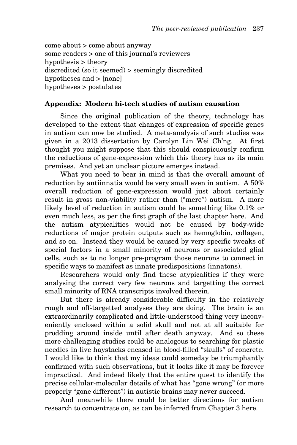come about > come about anyway some readers > one of this journal's reviewers hypothesis > theory discredited (so it seemed) > seemingly discredited hypotheses and > [none] hypotheses > postulates

#### **Appendix: Modern hi-tech studies of autism causation**

Since the original publication of the theory, technology has developed to the extent that changes of expression of specific genes in autism can now be studied. A meta-analysis of such studies was given in a 2013 dissertation by Carolyn Lin Wei Ch'ng. At first thought you might suppose that this should conspicuously confirm the reductions of gene-expression which this theory has as its main premises. And yet an unclear picture emerges instead.

What you need to bear in mind is that the overall amount of reduction by antiinnatia would be very small even in autism. A 50% overall reduction of gene-expression would just about certainly result in gross non-viability rather than ("mere") autism. A more likely level of reduction in autism could be something like 0.1% or even much less, as per the first graph of the last chapter here. And the autism atypicalities would not be caused by body-wide reductions of major protein outputs such as hemoglobin, collagen, and so on. Instead they would be caused by very specific tweaks of special factors in a small minority of neurons or associated glial cells, such as to no longer pre-program those neurons to connect in specific ways to manifest as innate predispositions (innatons).

Researchers would only find these atypicalities if they were analysing the correct very few neurons and targetting the correct small minority of RNA transcripts involved therein.

But there is already considerable difficulty in the relatively rough and off-targetted analyses they are doing. The brain is an extraordinarily complicated and little-understood thing very inconveniently enclosed within a solid skull and not at all suitable for prodding around inside until after death anyway. And so these more challenging studies could be analogous to searching for plastic needles in live haystacks encased in blood-filled "skulls" of concrete. I would like to think that my ideas could someday be triumphantly confirmed with such observations, but it looks like it may be forever impractical. And indeed likely that the entire quest to identify the precise cellular-molecular details of what has "gone wrong" (or more properly "gone different") in autistic brains may never succeed.

And meanwhile there could be better directions for autism research to concentrate on, as can be inferred from Chapter 3 here.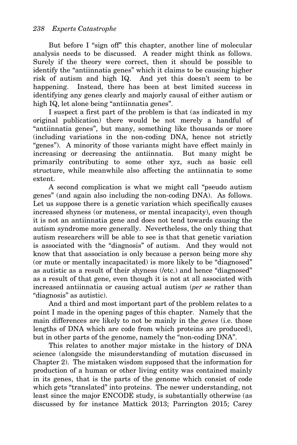But before I "sign off" this chapter, another line of molecular analysis needs to be discussed. A reader might think as follows. Surely if the theory were correct, then it should be possible to identify the "antiinnatia genes" which it claims to be causing higher risk of autism and high IQ. And yet this doesn't seem to be happening. Instead, there has been at best limited success in identifying any genes clearly and majorly causal of either autism or high IQ, let alone being "antiinnatia genes".

I suspect a first part of the problem is that (as indicated in my original publication) there would be not merely a handful of "antiinnatia genes", but many, something like thousands or more (including variations in the non-coding DNA, hence not strictly "genes"). A minority of those variants might have effect mainly in increasing or decreasing the antiinnatia. But many might be primarily contributing to some other xyz, such as basic cell structure, while meanwhile also affecting the antiinnatia to some extent.

A second complication is what we might call "pseudo autism genes" (and again also including the non-coding DNA). As follows. Let us suppose there is a genetic variation which specifically causes increased shyness (or muteness, or mental incapacity), even though it is not an antiinnatia gene and does not tend towards causing the autism syndrome more generally. Nevertheless, the only thing that autism researchers will be able to see is that that genetic variation is associated with the "diagnosis" of autism. And they would not know that that association is only because a person being more shy (or mute or mentally incapacitated) is more likely to be "diagnosed" as autistic as a result of their shyness (/etc.) and hence "diagnosed" as a result of that gene, even though it is not at all associated with increased antiinnatia or causing actual autism (*per se* rather than "diagnosis" as autistic).

And a third and most important part of the problem relates to a point I made in the opening pages of this chapter. Namely that the main differences are likely to not be mainly in the *genes* (i.e. those lengths of DNA which are code from which proteins are produced), but in other parts of the genome, namely the "non-coding DNA".

This relates to another major mistake in the history of DNA science (alongside the misunderstanding of mutation discussed in Chapter 2). The mistaken wisdom supposed that the information for production of a human or other living entity was contained mainly in its genes, that is the parts of the genome which consist of code which gets "translated" into proteins. The newer understanding, not least since the major ENCODE study, is substantially otherwise (as discussed by for instance Mattick 2013; Parrington 2015; Carey